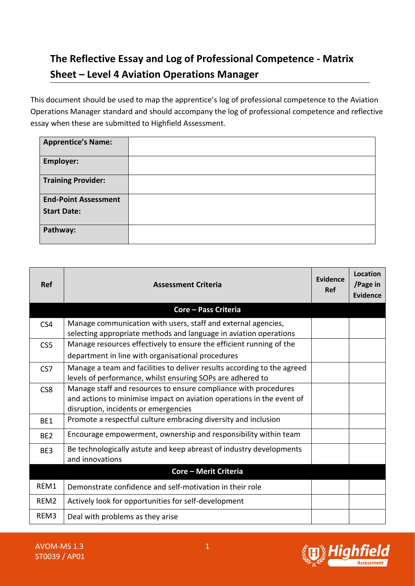## **The Reflective Essay and Log of Professional Competence - Matrix Sheet – Level 4 Aviation Operations Manager**

This document should be used to map the apprentice's log of professional competence to the Aviation Operations Manager standard and should accompany the log of professional competence and reflective essay when these are submitted to Highfield Assessment.

| <b>Apprentice's Name:</b>   |  |
|-----------------------------|--|
| <b>Employer:</b>            |  |
| <b>Training Provider:</b>   |  |
| <b>End-Point Assessment</b> |  |
| <b>Start Date:</b>          |  |
| Pathway:                    |  |

| <b>Ref</b>                   | <b>Assessment Criteria</b>                                                                                                                                                       | <b>Evidence</b><br>Ref | <b>Location</b><br>/Page in<br>Evidence |
|------------------------------|----------------------------------------------------------------------------------------------------------------------------------------------------------------------------------|------------------------|-----------------------------------------|
|                              | Core – Pass Criteria                                                                                                                                                             |                        |                                         |
| CS4                          | Manage communication with users, staff and external agencies,<br>selecting appropriate methods and language in aviation operations                                               |                        |                                         |
| CS <sub>5</sub>              | Manage resources effectively to ensure the efficient running of the                                                                                                              |                        |                                         |
|                              | department in line with organisational procedures                                                                                                                                |                        |                                         |
| CS <sub>7</sub>              | Manage a team and facilities to deliver results according to the agreed<br>levels of performance, whilst ensuring SOPs are adhered to                                            |                        |                                         |
| CS <sub>8</sub>              | Manage staff and resources to ensure compliance with procedures<br>and actions to minimise impact on aviation operations in the event of<br>disruption, incidents or emergencies |                        |                                         |
| BE1                          | Promote a respectful culture embracing diversity and inclusion                                                                                                                   |                        |                                         |
| BE <sub>2</sub>              | Encourage empowerment, ownership and responsibility within team                                                                                                                  |                        |                                         |
| BE3                          | Be technologically astute and keep abreast of industry developments<br>and innovations                                                                                           |                        |                                         |
| <b>Core - Merit Criteria</b> |                                                                                                                                                                                  |                        |                                         |
| REM1                         | Demonstrate confidence and self-motivation in their role                                                                                                                         |                        |                                         |
| REM <sub>2</sub>             | Actively look for opportunities for self-development                                                                                                                             |                        |                                         |
| REM <sub>3</sub>             | Deal with problems as they arise                                                                                                                                                 |                        |                                         |

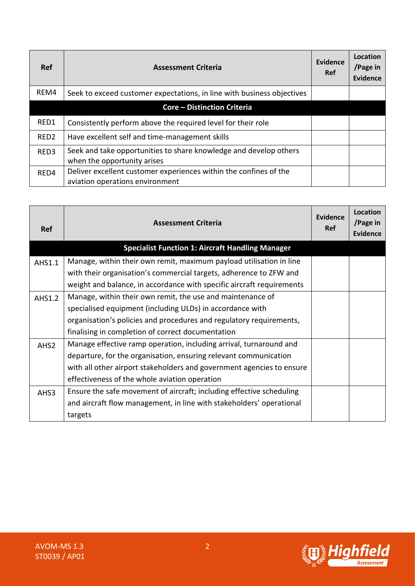| <b>Ref</b>       | <b>Assessment Criteria</b>                                                                           | Evidence<br><b>Ref</b> | Location<br>/Page in<br><b>Evidence</b> |
|------------------|------------------------------------------------------------------------------------------------------|------------------------|-----------------------------------------|
| REM4             | Seek to exceed customer expectations, in line with business objectives                               |                        |                                         |
|                  | <b>Core - Distinction Criteria</b>                                                                   |                        |                                         |
| RED1             | Consistently perform above the required level for their role                                         |                        |                                         |
| RED <sub>2</sub> | Have excellent self and time-management skills                                                       |                        |                                         |
| RED <sub>3</sub> | Seek and take opportunities to share knowledge and develop others<br>when the opportunity arises     |                        |                                         |
| RED4             | Deliver excellent customer experiences within the confines of the<br>aviation operations environment |                        |                                         |

| <b>Ref</b>       | <b>Assessment Criteria</b>                                            | Evidence<br>Ref | Location<br>/Page in<br>Evidence |
|------------------|-----------------------------------------------------------------------|-----------------|----------------------------------|
|                  | <b>Specialist Function 1: Aircraft Handling Manager</b>               |                 |                                  |
| AHS1.1           | Manage, within their own remit, maximum payload utilisation in line   |                 |                                  |
|                  | with their organisation's commercial targets, adherence to ZFW and    |                 |                                  |
|                  | weight and balance, in accordance with specific aircraft requirements |                 |                                  |
| AHS1.2           | Manage, within their own remit, the use and maintenance of            |                 |                                  |
|                  | specialised equipment (including ULDs) in accordance with             |                 |                                  |
|                  | organisation's policies and procedures and regulatory requirements,   |                 |                                  |
|                  | finalising in completion of correct documentation                     |                 |                                  |
| AHS <sub>2</sub> | Manage effective ramp operation, including arrival, turnaround and    |                 |                                  |
|                  | departure, for the organisation, ensuring relevant communication      |                 |                                  |
|                  | with all other airport stakeholders and government agencies to ensure |                 |                                  |
|                  | effectiveness of the whole aviation operation                         |                 |                                  |
| AHS3             | Ensure the safe movement of aircraft; including effective scheduling  |                 |                                  |
|                  | and aircraft flow management, in line with stakeholders' operational  |                 |                                  |
|                  | targets                                                               |                 |                                  |

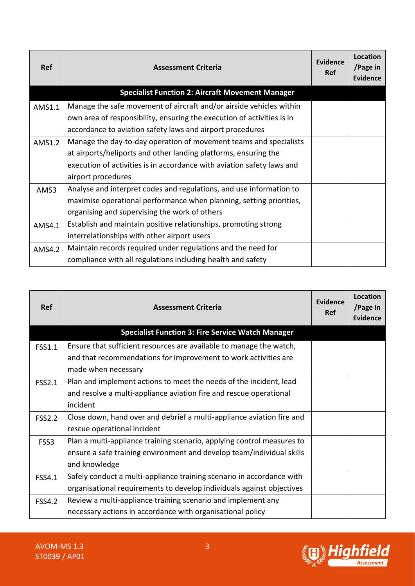| <b>Ref</b> | <b>Assessment Criteria</b>                                             | Evidence<br><b>Ref</b> | Location<br>/Page in<br><b>Evidence</b> |
|------------|------------------------------------------------------------------------|------------------------|-----------------------------------------|
|            | <b>Specialist Function 2: Aircraft Movement Manager</b>                |                        |                                         |
| AMS1.1     | Manage the safe movement of aircraft and/or airside vehicles within    |                        |                                         |
|            | own area of responsibility, ensuring the execution of activities is in |                        |                                         |
|            | accordance to aviation safety laws and airport procedures              |                        |                                         |
| AMS1.2     | Manage the day-to-day operation of movement teams and specialists      |                        |                                         |
|            | at airports/heliports and other landing platforms, ensuring the        |                        |                                         |
|            | execution of activities is in accordance with aviation safety laws and |                        |                                         |
|            | airport procedures                                                     |                        |                                         |
| AMS3       | Analyse and interpret codes and regulations, and use information to    |                        |                                         |
|            | maximise operational performance when planning, setting priorities,    |                        |                                         |
|            | organising and supervising the work of others                          |                        |                                         |
| AMS4.1     | Establish and maintain positive relationships, promoting strong        |                        |                                         |
|            | interrelationships with other airport users                            |                        |                                         |
| AMS4.2     | Maintain records required under regulations and the need for           |                        |                                         |
|            | compliance with all regulations including health and safety            |                        |                                         |

| <b>Ref</b>    | <b>Assessment Criteria</b>                                             | Evidence<br>Ref | Location<br>/Page in<br><b>Evidence</b> |
|---------------|------------------------------------------------------------------------|-----------------|-----------------------------------------|
|               | <b>Specialist Function 3: Fire Service Watch Manager</b>               |                 |                                         |
| <b>FSS1.1</b> | Ensure that sufficient resources are available to manage the watch,    |                 |                                         |
|               | and that recommendations for improvement to work activities are        |                 |                                         |
|               | made when necessary                                                    |                 |                                         |
| <b>FSS2.1</b> | Plan and implement actions to meet the needs of the incident, lead     |                 |                                         |
|               | and resolve a multi-appliance aviation fire and rescue operational     |                 |                                         |
|               | incident                                                               |                 |                                         |
| <b>FSS2.2</b> | Close down, hand over and debrief a multi-appliance aviation fire and  |                 |                                         |
|               | rescue operational incident                                            |                 |                                         |
| FSS3          | Plan a multi-appliance training scenario, applying control measures to |                 |                                         |
|               | ensure a safe training environment and develop team/individual skills  |                 |                                         |
|               | and knowledge                                                          |                 |                                         |
| <b>FSS4.1</b> | Safely conduct a multi-appliance training scenario in accordance with  |                 |                                         |
|               | organisational requirements to develop individuals against objectives  |                 |                                         |
| <b>FSS4.2</b> | Review a multi-appliance training scenario and implement any           |                 |                                         |
|               | necessary actions in accordance with organisational policy             |                 |                                         |

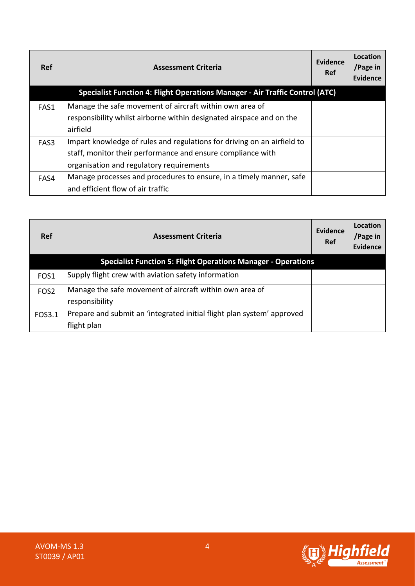| <b>Ref</b> | <b>Assessment Criteria</b>                                                                                                                                                         | Evidence<br><b>Ref</b> | Location<br>/Page in<br>Evidence |
|------------|------------------------------------------------------------------------------------------------------------------------------------------------------------------------------------|------------------------|----------------------------------|
|            | Specialist Function 4: Flight Operations Manager - Air Traffic Control (ATC)                                                                                                       |                        |                                  |
| FAS1       | Manage the safe movement of aircraft within own area of<br>responsibility whilst airborne within designated airspace and on the<br>airfield                                        |                        |                                  |
| FAS3       | Impart knowledge of rules and regulations for driving on an airfield to<br>staff, monitor their performance and ensure compliance with<br>organisation and regulatory requirements |                        |                                  |
| FAS4       | Manage processes and procedures to ensure, in a timely manner, safe<br>and efficient flow of air traffic                                                                           |                        |                                  |

| <b>Ref</b>       | <b>Assessment Criteria</b>                                                | Evidence<br>Ref | Location<br>/Page in<br>Evidence |
|------------------|---------------------------------------------------------------------------|-----------------|----------------------------------|
|                  | <b>Specialist Function 5: Flight Operations Manager - Operations</b>      |                 |                                  |
| FOS <sub>1</sub> | Supply flight crew with aviation safety information                       |                 |                                  |
| FOS <sub>2</sub> | Manage the safe movement of aircraft within own area of<br>responsibility |                 |                                  |
| FOS3.1           | Prepare and submit an 'integrated initial flight plan system' approved    |                 |                                  |
|                  | flight plan                                                               |                 |                                  |